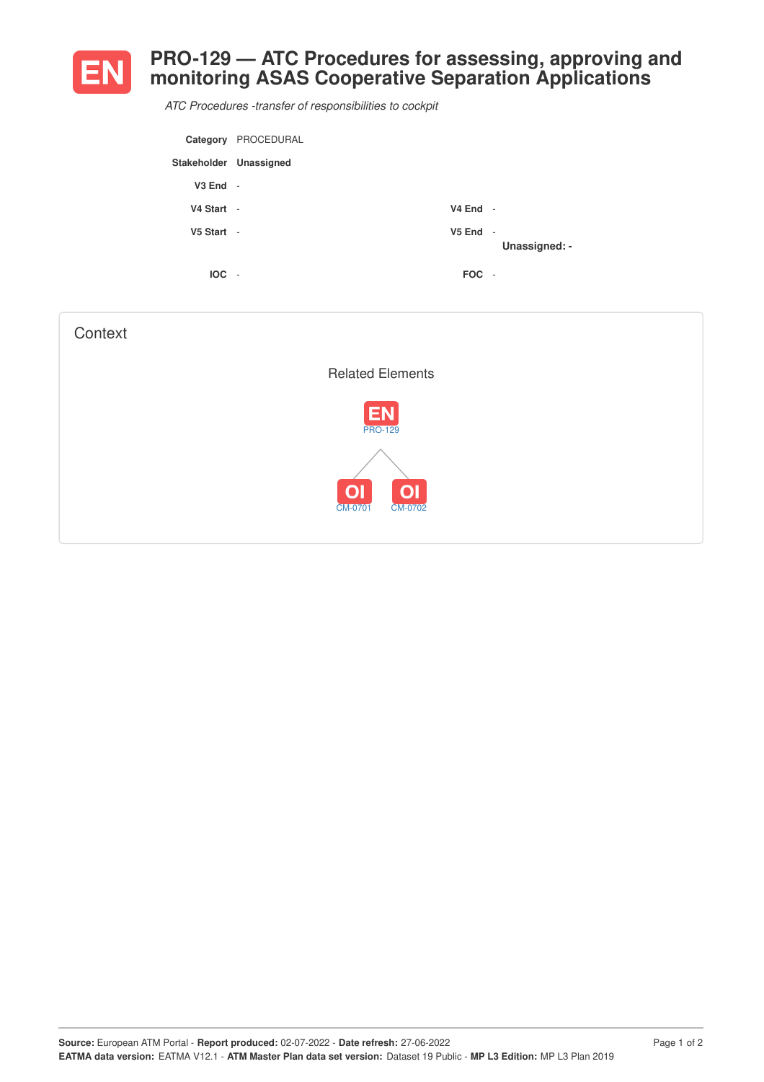

## **PRO-129 — ATC Procedures for assessing, approving and monitoring ASAS Cooperative Separation Applications**

*ATC Procedures -transfer of responsibilities to cockpit*

| Category               | PROCEDURAL               |            |               |
|------------------------|--------------------------|------------|---------------|
| Stakeholder Unassigned |                          |            |               |
| $V3$ End $-$           |                          |            |               |
| V4 Start -             |                          | $V4$ End - |               |
| V5 Start -             |                          | $V5$ End - | Unassigned: - |
| <b>IOC</b>             | $\overline{\phantom{a}}$ | FOC -      |               |

| Context                                                |  |
|--------------------------------------------------------|--|
| <b>Related Elements</b>                                |  |
| <b>EN</b><br><b>PRO-129</b>                            |  |
| $\overline{O}$<br>O <sub>1</sub><br>CM-0701<br>CM-0702 |  |